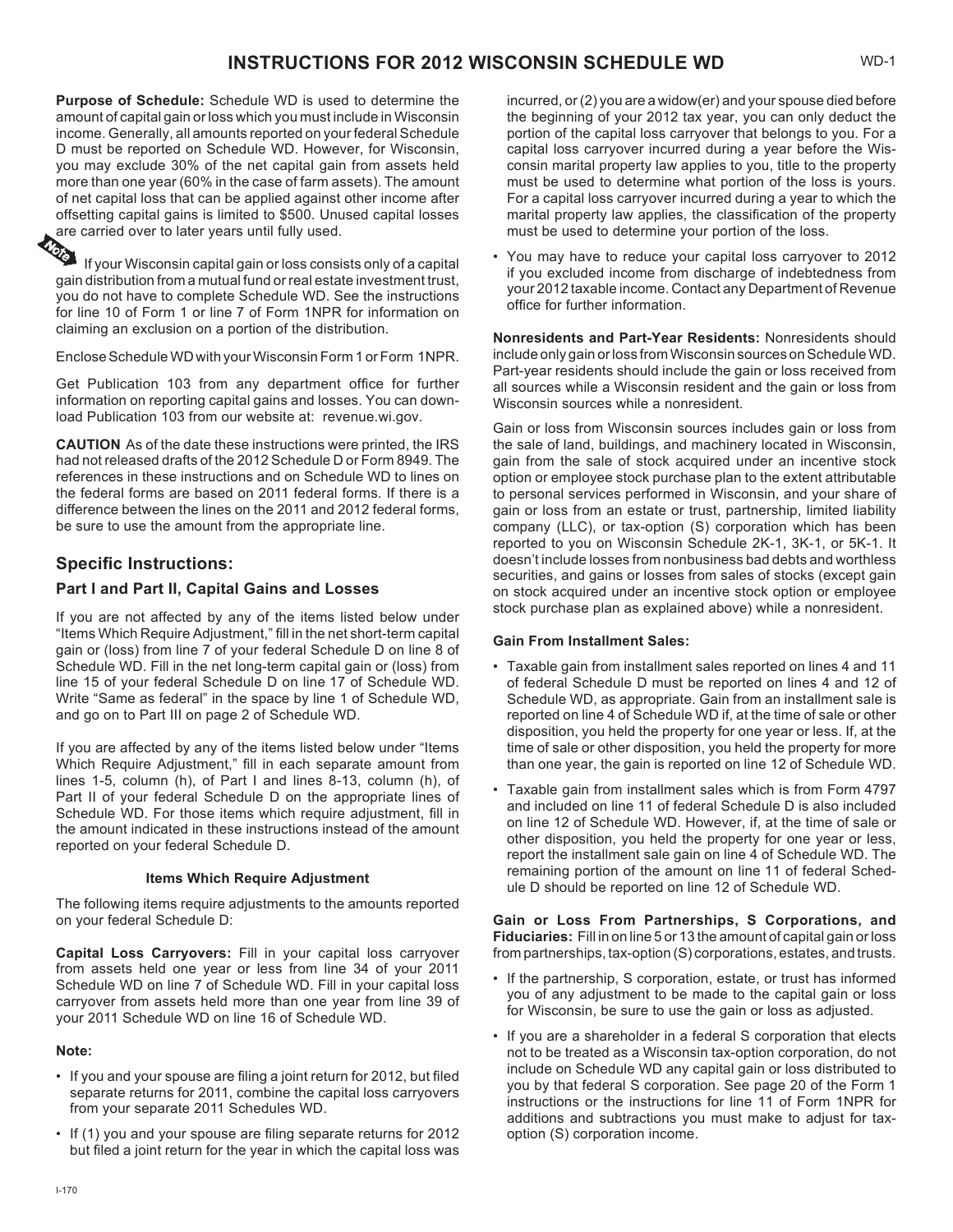# **INSTRUCTIONS FOR 2012 WISCONSIN SCHEDULE WD** WD-1

**Purpose of Schedule:** Schedule WD is used to determine the amount of capital gain or loss which you must include in Wisconsin income. Generally, all amounts reported on your federal Schedule D must be reported on Schedule WD. However, for Wisconsin, you may exclude 30% of the net capital gain from assets held more than one year (60% in the case of farm assets). The amount of net capital loss that can be applied against other income after offsetting capital gains is limited to \$500. Unused capital losses are carried over to later years until fully used.

If your Wisconsin capital gain or loss consists only of a capital gain distribution from a mutual fund or real estate investment trust, you do not have to complete Schedule WD. See the instructions for line 10 of Form 1 or line 7 of Form 1NPR for information on claiming an exclusion on a portion of the distribution.

Enclose Schedule WD with your Wisconsin Form 1 or Form 1NPR.

Get Publication 103 from any department office for further information on reporting capital gains and losses. You can download Publication 103 from our website at: [revenue.wi.gov](http://www.revenue.wi.gov).

**CAUTION** As of the date these instructions were printed, the IRS had not released drafts of the 2012 Schedule D or Form 8949. The references in these instructions and on Schedule WD to lines on the federal forms are based on 2011 federal forms. If there is a difference between the lines on the 2011 and 2012 federal forms, be sure to use the amount from the appropriate line.

## **Specific Instructions:**

## **Part I and Part II, Capital Gains and Losses**

If you are not affected by any of the items listed below under "Items Which Require Adjustment," fill in the net short-term capital gain or (loss) from line 7 of your federal Schedule D on line 8 of Schedule WD. Fill in the net long-term capital gain or (loss) from line 15 of your federal Schedule D on line 17 of Schedule WD. Write "Same as federal" in the space by line 1 of Schedule WD, and go on to Part III on page 2 of Schedule WD.

If you are affected by any of the items listed below under "Items Which Require Adjustment," fill in each separate amount from lines 1-5, column (h), of Part I and lines 8-13, column (h), of Part II of your federal Schedule D on the appropriate lines of Schedule WD. For those items which require adjustment, fill in the amount indicated in these instructions instead of the amount reported on your federal Schedule D.

#### **Items Which Require Adjustment**

The following items require adjustments to the amounts reported on your federal Schedule D:

**Capital Loss Carryovers:** Fill in your capital loss carryover from assets held one year or less from line 34 of your 2011 Schedule WD on line 7 of Schedule WD. Fill in your capital loss carryover from assets held more than one year from line 39 of your 2011 Schedule WD on line 16 of Schedule WD.

#### **Note:**

- If you and your spouse are filing a joint return for 2012, but filed separate returns for 2011, combine the capital loss carryovers from your separate 2011 Schedules WD.
- If (1) you and your spouse are filing separate returns for 2012 but filed a joint return for the year in which the capital loss was

incurred, or (2) you are a widow(er) and your spouse died before the beginning of your 2012 tax year, you can only deduct the portion of the capital loss carryover that belongs to you. For a capital loss carryover incurred during a year before the Wisconsin marital property law applies to you, title to the property must be used to determine what portion of the loss is yours. For a capital loss carryover incurred during a year to which the marital property law applies, the classification of the property must be used to determine your portion of the loss.

• You may have to reduce your capital loss carryover to 2012 if you excluded income from discharge of indebtedness from your 2012 taxable income. Contact any Department of Revenue office for further information.

**Nonresidents and Part-Year Residents:** Nonresidents should include only gain or loss from Wisconsin sources on Schedule WD. Part-year residents should include the gain or loss received from all sources while a Wisconsin resident and the gain or loss from Wisconsin sources while a nonresident.

Gain or loss from Wisconsin sources includes gain or loss from the sale of land, buildings, and machinery located in Wisconsin, gain from the sale of stock acquired under an incentive stock option or employee stock purchase plan to the extent attributable to personal services performed in Wisconsin, and your share of gain or loss from an estate or trust, partnership, limited liability company (LLC), or tax-option (S) corporation which has been reported to you on Wisconsin Schedule 2K-1, 3K-1, or 5K-1. It doesn't include losses from nonbusiness bad debts and worthless securities, and gains or losses from sales of stocks (except gain on stock acquired under an incentive stock option or employee stock purchase plan as explained above) while a nonresident.

#### **Gain From Installment Sales:**

- Taxable gain from installment sales reported on lines 4 and 11 of federal Schedule D must be reported on lines 4 and 12 of Schedule WD, as appropriate. Gain from an installment sale is reported on line 4 of Schedule WD if, at the time of sale or other disposition, you held the property for one year or less. If, at the time of sale or other disposition, you held the property for more than one year, the gain is reported on line 12 of Schedule WD.
- Taxable gain from installment sales which is from Form 4797 and included on line 11 of federal Schedule D is also included on line 12 of Schedule WD. However, if, at the time of sale or other disposition, you held the property for one year or less, report the installment sale gain on line 4 of Schedule WD. The remaining portion of the amount on line 11 of federal Schedule D should be reported on line 12 of Schedule WD.

**Gain or Loss From Partnerships, S Corporations, and Fiduciaries:** Fill in on line 5 or 13 the amount of capital gain or loss from partnerships, tax-option (S) corporations, estates, and trusts.

- If the partnership, S corporation, estate, or trust has informed you of any adjustment to be made to the capital gain or loss for Wisconsin, be sure to use the gain or loss as adjusted.
- If you are a shareholder in a federal S corporation that elects not to be treated as a Wisconsin tax-option corporation, do not include on Schedule WD any capital gain or loss distributed to you by that federal S corporation. See page 20 of the Form 1 instructions or the instructions for line 11 of Form 1NPR for additions and subtractions you must make to adjust for taxoption (S) corporation income.